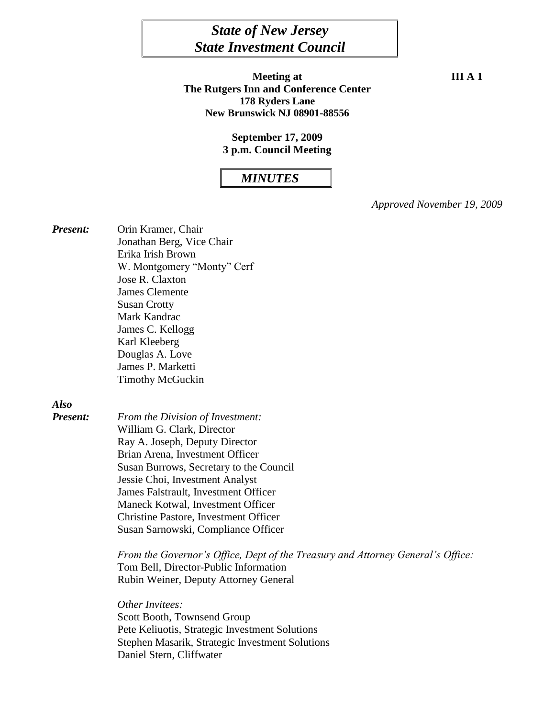# *State of New Jersey State Investment Council*

**Meeting at III A** 1 **The Rutgers Inn and Conference Center 178 Ryders Lane New Brunswick NJ 08901-88556** 

#### **September 17, 2009 3 p.m. Council Meeting**

## *MINUTES*

*Approved November 19, 2009*

*Present:* Orin Kramer, Chair Jonathan Berg, Vice Chair Erika Irish Brown W. Montgomery "Monty" Cerf Jose R. Claxton James Clemente Susan Crotty Mark Kandrac James C. Kellogg Karl Kleeberg Douglas A. Love James P. Marketti Timothy McGuckin

## *Also*

*Present: From the Division of Investment:* William G. Clark, Director Ray A. Joseph, Deputy Director Brian Arena, Investment Officer Susan Burrows, Secretary to the Council Jessie Choi, Investment Analyst James Falstrault, Investment Officer Maneck Kotwal, Investment Officer Christine Pastore, Investment Officer Susan Sarnowski, Compliance Officer

> *From the Governor's Office, Dept of the Treasury and Attorney General's Office:* Tom Bell, Director-Public Information Rubin Weiner, Deputy Attorney General

*Other Invitees:* Scott Booth, Townsend Group Pete Keliuotis, Strategic Investment Solutions Stephen Masarik, Strategic Investment Solutions Daniel Stern, Cliffwater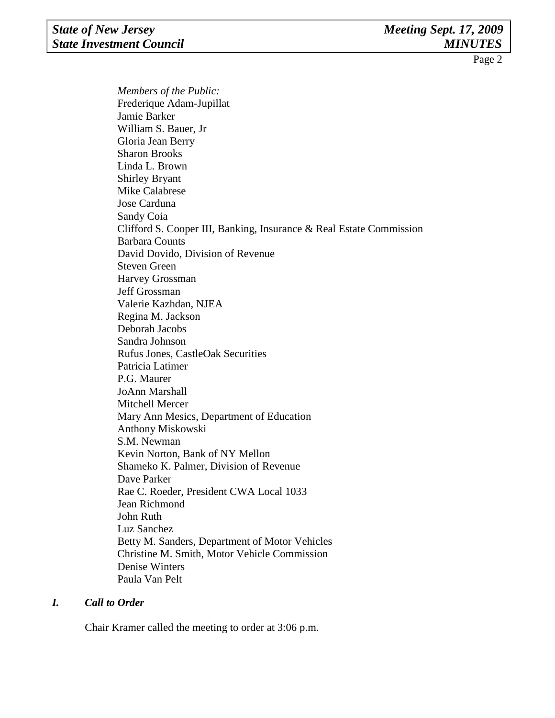*Members of the Public:*  Frederique Adam-Jupillat Jamie Barker William S. Bauer, Jr Gloria Jean Berry Sharon Brooks Linda L. Brown Shirley Bryant Mike Calabrese Jose Carduna Sandy Coia Clifford S. Cooper III, Banking, Insurance & Real Estate Commission Barbara Counts David Dovido, Division of Revenue Steven Green Harvey Grossman Jeff Grossman Valerie Kazhdan, NJEA Regina M. Jackson Deborah Jacobs Sandra Johnson Rufus Jones, CastleOak Securities Patricia Latimer P.G. Maurer JoAnn Marshall Mitchell Mercer Mary Ann Mesics, Department of Education Anthony Miskowski S.M. Newman Kevin Norton, Bank of NY Mellon Shameko K. Palmer, Division of Revenue Dave Parker Rae C. Roeder, President CWA Local 1033 Jean Richmond John Ruth Luz Sanchez Betty M. Sanders, Department of Motor Vehicles Christine M. Smith, Motor Vehicle Commission Denise Winters Paula Van Pelt

#### *I. Call to Order*

Chair Kramer called the meeting to order at 3:06 p.m.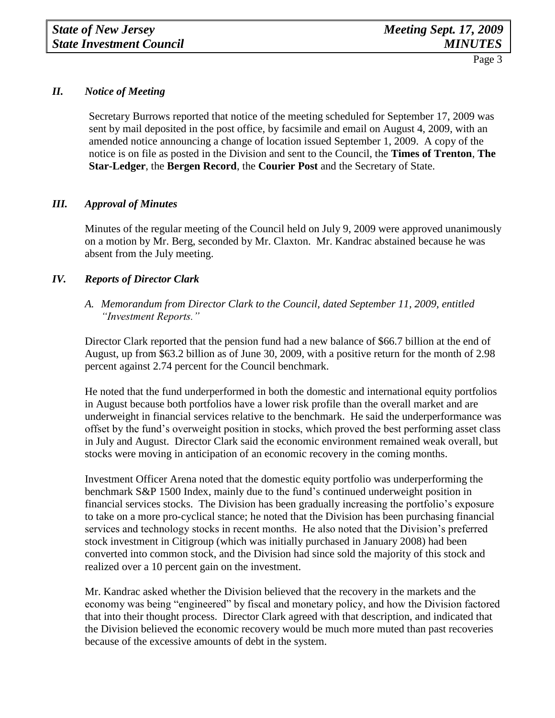## *II. Notice of Meeting*

Secretary Burrows reported that notice of the meeting scheduled for September 17, 2009 was sent by mail deposited in the post office, by facsimile and email on August 4, 2009, with an amended notice announcing a change of location issued September 1, 2009. A copy of the notice is on file as posted in the Division and sent to the Council, the **Times of Trenton**, **The Star-Ledger**, the **Bergen Record**, the **Courier Post** and the Secretary of State.

#### *III. Approval of Minutes*

Minutes of the regular meeting of the Council held on July 9, 2009 were approved unanimously on a motion by Mr. Berg, seconded by Mr. Claxton. Mr. Kandrac abstained because he was absent from the July meeting.

## *IV. Reports of Director Clark*

*A. Memorandum from Director Clark to the Council, dated September 11, 2009, entitled "Investment Reports."*

Director Clark reported that the pension fund had a new balance of \$66.7 billion at the end of August, up from \$63.2 billion as of June 30, 2009, with a positive return for the month of 2.98 percent against 2.74 percent for the Council benchmark.

He noted that the fund underperformed in both the domestic and international equity portfolios in August because both portfolios have a lower risk profile than the overall market and are underweight in financial services relative to the benchmark. He said the underperformance was offset by the fund's overweight position in stocks, which proved the best performing asset class in July and August. Director Clark said the economic environment remained weak overall, but stocks were moving in anticipation of an economic recovery in the coming months.

Investment Officer Arena noted that the domestic equity portfolio was underperforming the benchmark S&P 1500 Index, mainly due to the fund's continued underweight position in financial services stocks. The Division has been gradually increasing the portfolio's exposure to take on a more pro-cyclical stance; he noted that the Division has been purchasing financial services and technology stocks in recent months. He also noted that the Division's preferred stock investment in Citigroup (which was initially purchased in January 2008) had been converted into common stock, and the Division had since sold the majority of this stock and realized over a 10 percent gain on the investment.

Mr. Kandrac asked whether the Division believed that the recovery in the markets and the economy was being "engineered" by fiscal and monetary policy, and how the Division factored that into their thought process. Director Clark agreed with that description, and indicated that the Division believed the economic recovery would be much more muted than past recoveries because of the excessive amounts of debt in the system.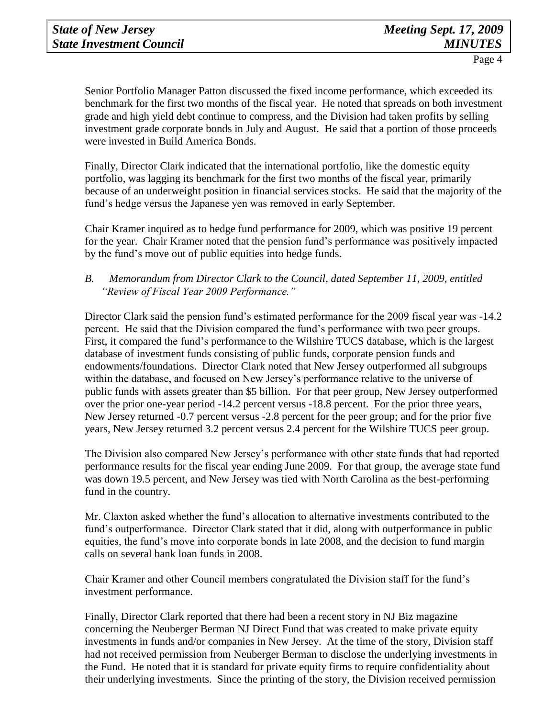Senior Portfolio Manager Patton discussed the fixed income performance, which exceeded its benchmark for the first two months of the fiscal year. He noted that spreads on both investment grade and high yield debt continue to compress, and the Division had taken profits by selling investment grade corporate bonds in July and August. He said that a portion of those proceeds were invested in Build America Bonds.

Finally, Director Clark indicated that the international portfolio, like the domestic equity portfolio, was lagging its benchmark for the first two months of the fiscal year, primarily because of an underweight position in financial services stocks. He said that the majority of the fund's hedge versus the Japanese yen was removed in early September.

Chair Kramer inquired as to hedge fund performance for 2009, which was positive 19 percent for the year. Chair Kramer noted that the pension fund's performance was positively impacted by the fund's move out of public equities into hedge funds.

## *B. Memorandum from Director Clark to the Council, dated September 11, 2009, entitled "Review of Fiscal Year 2009 Performance."*

Director Clark said the pension fund's estimated performance for the 2009 fiscal year was -14.2 percent. He said that the Division compared the fund's performance with two peer groups. First, it compared the fund's performance to the Wilshire TUCS database, which is the largest database of investment funds consisting of public funds, corporate pension funds and endowments/foundations. Director Clark noted that New Jersey outperformed all subgroups within the database, and focused on New Jersey's performance relative to the universe of public funds with assets greater than \$5 billion. For that peer group, New Jersey outperformed over the prior one-year period -14.2 percent versus -18.8 percent. For the prior three years, New Jersey returned -0.7 percent versus -2.8 percent for the peer group; and for the prior five years, New Jersey returned 3.2 percent versus 2.4 percent for the Wilshire TUCS peer group.

The Division also compared New Jersey's performance with other state funds that had reported performance results for the fiscal year ending June 2009. For that group, the average state fund was down 19.5 percent, and New Jersey was tied with North Carolina as the best-performing fund in the country.

Mr. Claxton asked whether the fund's allocation to alternative investments contributed to the fund's outperformance. Director Clark stated that it did, along with outperformance in public equities, the fund's move into corporate bonds in late 2008, and the decision to fund margin calls on several bank loan funds in 2008.

Chair Kramer and other Council members congratulated the Division staff for the fund's investment performance.

Finally, Director Clark reported that there had been a recent story in NJ Biz magazine concerning the Neuberger Berman NJ Direct Fund that was created to make private equity investments in funds and/or companies in New Jersey. At the time of the story, Division staff had not received permission from Neuberger Berman to disclose the underlying investments in the Fund. He noted that it is standard for private equity firms to require confidentiality about their underlying investments. Since the printing of the story, the Division received permission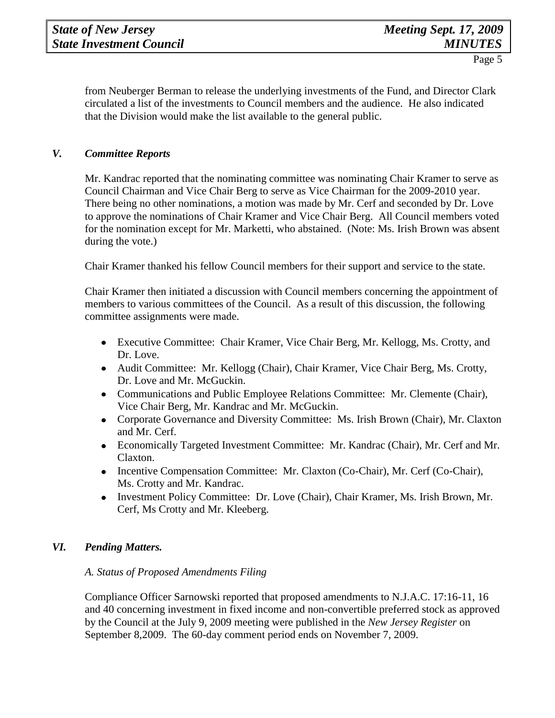from Neuberger Berman to release the underlying investments of the Fund, and Director Clark circulated a list of the investments to Council members and the audience. He also indicated that the Division would make the list available to the general public.

## *V. Committee Reports*

Mr. Kandrac reported that the nominating committee was nominating Chair Kramer to serve as Council Chairman and Vice Chair Berg to serve as Vice Chairman for the 2009-2010 year. There being no other nominations, a motion was made by Mr. Cerf and seconded by Dr. Love to approve the nominations of Chair Kramer and Vice Chair Berg. All Council members voted for the nomination except for Mr. Marketti, who abstained. (Note: Ms. Irish Brown was absent during the vote.)

Chair Kramer thanked his fellow Council members for their support and service to the state.

Chair Kramer then initiated a discussion with Council members concerning the appointment of members to various committees of the Council. As a result of this discussion, the following committee assignments were made.

- Executive Committee: Chair Kramer, Vice Chair Berg, Mr. Kellogg, Ms. Crotty, and Dr. Love.
- Audit Committee: Mr. Kellogg (Chair), Chair Kramer, Vice Chair Berg, Ms. Crotty, Dr. Love and Mr. McGuckin.
- Communications and Public Employee Relations Committee: Mr. Clemente (Chair), Vice Chair Berg, Mr. Kandrac and Mr. McGuckin.
- Corporate Governance and Diversity Committee: Ms. Irish Brown (Chair), Mr. Claxton  $\bullet$ and Mr. Cerf.
- Economically Targeted Investment Committee: Mr. Kandrac (Chair), Mr. Cerf and Mr.  $\bullet$ Claxton.
- Incentive Compensation Committee: Mr. Claxton (Co-Chair), Mr. Cerf (Co-Chair), Ms. Crotty and Mr. Kandrac.
- Investment Policy Committee: Dr. Love (Chair), Chair Kramer, Ms. Irish Brown, Mr.  $\bullet$ Cerf, Ms Crotty and Mr. Kleeberg.

## *VI. Pending Matters.*

## *A. Status of Proposed Amendments Filing*

Compliance Officer Sarnowski reported that proposed amendments to N.J.A.C. 17:16-11, 16 and 40 concerning investment in fixed income and non-convertible preferred stock as approved by the Council at the July 9, 2009 meeting were published in the *New Jersey Register* on September 8,2009. The 60-day comment period ends on November 7, 2009.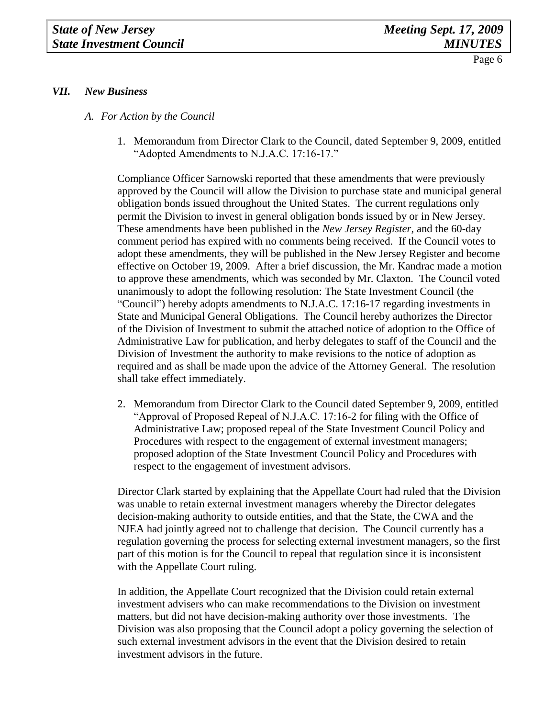# *VII. New Business*

- *A. For Action by the Council*
	- 1. Memorandum from Director Clark to the Council, dated September 9, 2009, entitled "Adopted Amendments to N.J.A.C. 17:16-17."

Compliance Officer Sarnowski reported that these amendments that were previously approved by the Council will allow the Division to purchase state and municipal general obligation bonds issued throughout the United States. The current regulations only permit the Division to invest in general obligation bonds issued by or in New Jersey. These amendments have been published in the *New Jersey Register*, and the 60-day comment period has expired with no comments being received. If the Council votes to adopt these amendments, they will be published in the New Jersey Register and become effective on October 19, 2009. After a brief discussion, the Mr. Kandrac made a motion to approve these amendments, which was seconded by Mr. Claxton. The Council voted unanimously to adopt the following resolution: The State Investment Council (the "Council") hereby adopts amendments to  $N.J.A.C.$  17:16-17 regarding investments in State and Municipal General Obligations. The Council hereby authorizes the Director of the Division of Investment to submit the attached notice of adoption to the Office of Administrative Law for publication, and herby delegates to staff of the Council and the Division of Investment the authority to make revisions to the notice of adoption as required and as shall be made upon the advice of the Attorney General. The resolution shall take effect immediately.

2. Memorandum from Director Clark to the Council dated September 9, 2009, entitled "Approval of Proposed Repeal of N.J.A.C. 17:16-2 for filing with the Office of Administrative Law; proposed repeal of the State Investment Council Policy and Procedures with respect to the engagement of external investment managers; proposed adoption of the State Investment Council Policy and Procedures with respect to the engagement of investment advisors.

Director Clark started by explaining that the Appellate Court had ruled that the Division was unable to retain external investment managers whereby the Director delegates decision-making authority to outside entities, and that the State, the CWA and the NJEA had jointly agreed not to challenge that decision. The Council currently has a regulation governing the process for selecting external investment managers, so the first part of this motion is for the Council to repeal that regulation since it is inconsistent with the Appellate Court ruling.

In addition, the Appellate Court recognized that the Division could retain external investment advisers who can make recommendations to the Division on investment matters, but did not have decision-making authority over those investments. The Division was also proposing that the Council adopt a policy governing the selection of such external investment advisors in the event that the Division desired to retain investment advisors in the future.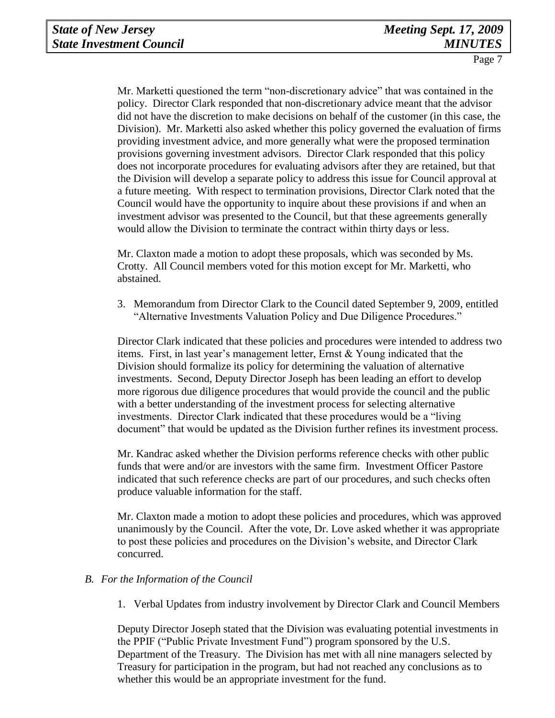Mr. Marketti questioned the term "non-discretionary advice" that was contained in the policy. Director Clark responded that non-discretionary advice meant that the advisor did not have the discretion to make decisions on behalf of the customer (in this case, the Division). Mr. Marketti also asked whether this policy governed the evaluation of firms providing investment advice, and more generally what were the proposed termination provisions governing investment advisors. Director Clark responded that this policy does not incorporate procedures for evaluating advisors after they are retained, but that the Division will develop a separate policy to address this issue for Council approval at a future meeting. With respect to termination provisions, Director Clark noted that the Council would have the opportunity to inquire about these provisions if and when an investment advisor was presented to the Council, but that these agreements generally would allow the Division to terminate the contract within thirty days or less.

Mr. Claxton made a motion to adopt these proposals, which was seconded by Ms. Crotty. All Council members voted for this motion except for Mr. Marketti, who abstained.

3. Memorandum from Director Clark to the Council dated September 9, 2009, entitled "Alternative Investments Valuation Policy and Due Diligence Procedures."

Director Clark indicated that these policies and procedures were intended to address two items. First, in last year's management letter, Ernst & Young indicated that the Division should formalize its policy for determining the valuation of alternative investments. Second, Deputy Director Joseph has been leading an effort to develop more rigorous due diligence procedures that would provide the council and the public with a better understanding of the investment process for selecting alternative investments. Director Clark indicated that these procedures would be a "living document" that would be updated as the Division further refines its investment process.

Mr. Kandrac asked whether the Division performs reference checks with other public funds that were and/or are investors with the same firm. Investment Officer Pastore indicated that such reference checks are part of our procedures, and such checks often produce valuable information for the staff.

Mr. Claxton made a motion to adopt these policies and procedures, which was approved unanimously by the Council. After the vote, Dr. Love asked whether it was appropriate to post these policies and procedures on the Division's website, and Director Clark concurred.

## *B. For the Information of the Council*

1. Verbal Updates from industry involvement by Director Clark and Council Members

Deputy Director Joseph stated that the Division was evaluating potential investments in the PPIF ("Public Private Investment Fund") program sponsored by the U.S. Department of the Treasury. The Division has met with all nine managers selected by Treasury for participation in the program, but had not reached any conclusions as to whether this would be an appropriate investment for the fund.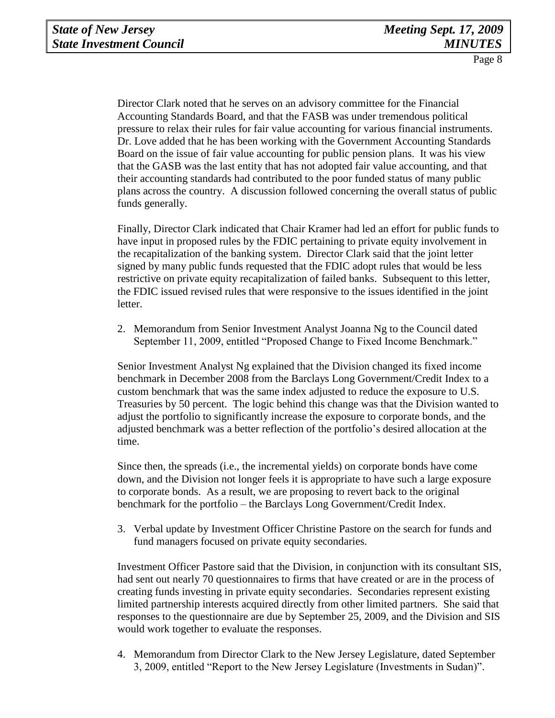Director Clark noted that he serves on an advisory committee for the Financial Accounting Standards Board, and that the FASB was under tremendous political pressure to relax their rules for fair value accounting for various financial instruments. Dr. Love added that he has been working with the Government Accounting Standards Board on the issue of fair value accounting for public pension plans. It was his view that the GASB was the last entity that has not adopted fair value accounting, and that their accounting standards had contributed to the poor funded status of many public plans across the country. A discussion followed concerning the overall status of public funds generally.

Finally, Director Clark indicated that Chair Kramer had led an effort for public funds to have input in proposed rules by the FDIC pertaining to private equity involvement in the recapitalization of the banking system. Director Clark said that the joint letter signed by many public funds requested that the FDIC adopt rules that would be less restrictive on private equity recapitalization of failed banks. Subsequent to this letter, the FDIC issued revised rules that were responsive to the issues identified in the joint letter.

2. Memorandum from Senior Investment Analyst Joanna Ng to the Council dated September 11, 2009, entitled "Proposed Change to Fixed Income Benchmark."

Senior Investment Analyst Ng explained that the Division changed its fixed income benchmark in December 2008 from the Barclays Long Government/Credit Index to a custom benchmark that was the same index adjusted to reduce the exposure to U.S. Treasuries by 50 percent. The logic behind this change was that the Division wanted to adjust the portfolio to significantly increase the exposure to corporate bonds, and the adjusted benchmark was a better reflection of the portfolio's desired allocation at the time.

Since then, the spreads (i.e., the incremental yields) on corporate bonds have come down, and the Division not longer feels it is appropriate to have such a large exposure to corporate bonds. As a result, we are proposing to revert back to the original benchmark for the portfolio – the Barclays Long Government/Credit Index.

3. Verbal update by Investment Officer Christine Pastore on the search for funds and fund managers focused on private equity secondaries.

Investment Officer Pastore said that the Division, in conjunction with its consultant SIS, had sent out nearly 70 questionnaires to firms that have created or are in the process of creating funds investing in private equity secondaries. Secondaries represent existing limited partnership interests acquired directly from other limited partners. She said that responses to the questionnaire are due by September 25, 2009, and the Division and SIS would work together to evaluate the responses.

4. Memorandum from Director Clark to the New Jersey Legislature, dated September 3, 2009, entitled "Report to the New Jersey Legislature (Investments in Sudan)".